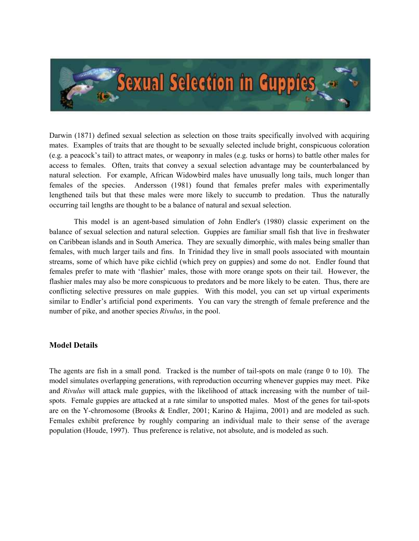

Darwin (1871) defined sexual selection as selection on those traits specifically involved with acquiring mates. Examples of traits that are thought to be sexually selected include bright, conspicuous coloration (e.g. a peacock's tail) to attract mates, or weaponry in males (e.g. tusks or horns) to battle other males for access to females. Often, traits that convey a sexual selection advantage may be counterbalanced by natural selection. For example, African Widowbird males have unusually long tails, much longer than females of the species. Andersson (1981) found that females prefer males with experimentally lengthened tails but that these males were more likely to succumb to predation. Thus the naturally occurring tail lengths are thought to be a balance of natural and sexual selection.

 This model is an agent-based simulation of John Endler's (1980) classic experiment on the balance of sexual selection and natural selection. Guppies are familiar small fish that live in freshwater on Caribbean islands and in South America. They are sexually dimorphic, with males being smaller than females, with much larger tails and fins. In Trinidad they live in small pools associated with mountain streams, some of which have pike cichlid (which prey on guppies) and some do not. Endler found that females prefer to mate with 'flashier' males, those with more orange spots on their tail. However, the flashier males may also be more conspicuous to predators and be more likely to be eaten. Thus, there are conflicting selective pressures on male guppies. With this model, you can set up virtual experiments similar to Endler's artificial pond experiments. You can vary the strength of female preference and the number of pike, and another species *Rivulus*, in the pool.

## Model Details

The agents are fish in a small pond. Tracked is the number of tail-spots on male (range 0 to 10). The model simulates overlapping generations, with reproduction occurring whenever guppies may meet. Pike and Rivulus will attack male guppies, with the likelihood of attack increasing with the number of tailspots. Female guppies are attacked at a rate similar to unspotted males. Most of the genes for tail-spots are on the Y-chromosome (Brooks & Endler, 2001; Karino & Hajima, 2001) and are modeled as such. Females exhibit preference by roughly comparing an individual male to their sense of the average population (Houde, 1997). Thus preference is relative, not absolute, and is modeled as such.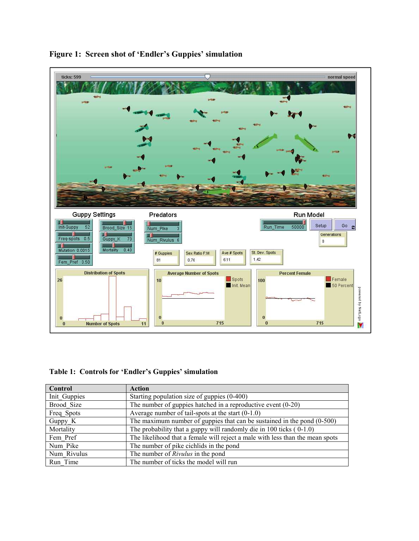

## Figure 1: Screen shot of 'Endler's Guppies' simulation

Table 1: Controls for 'Endler's Guppies' simulation

| Control      | <b>Action</b>                                                                 |
|--------------|-------------------------------------------------------------------------------|
| Init Guppies | Starting population size of guppies (0-400)                                   |
| Brood Size   | The number of guppies hatched in a reproductive event $(0-20)$                |
| Freq Spots   | Average number of tail-spots at the start $(0-1.0)$                           |
| Guppy K      | The maximum number of guppies that can be sustained in the pond (0-500)       |
| Mortality    | The probability that a guppy will randomly die in 100 ticks $(0-1.0)$         |
| Fem Pref     | The likelihood that a female will reject a male with less than the mean spots |
| Num Pike     | The number of pike cichlids in the pond                                       |
| Num Rivulus  | The number of <i>Rivulus</i> in the pond                                      |
| Run Time     | The number of ticks the model will run                                        |